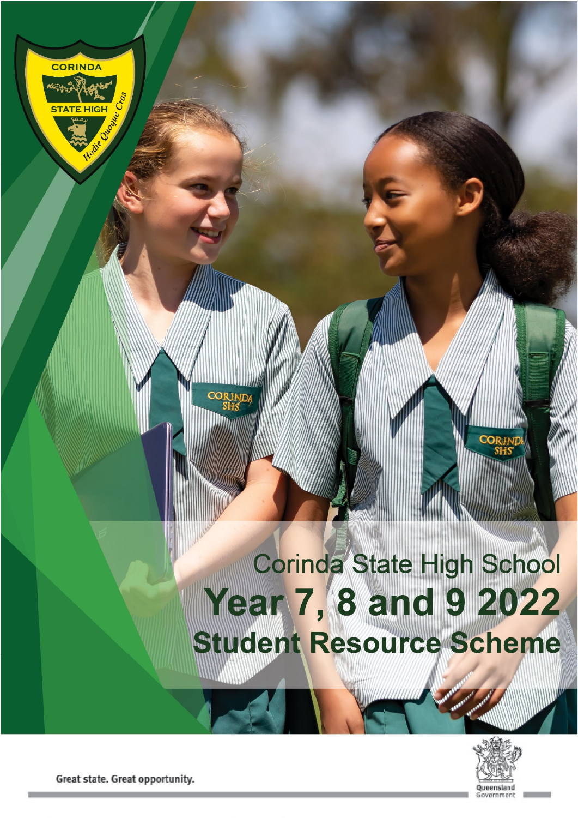# Corinda State High School Year 7, 8 and 9 2022<br>Student Resource Scheme



Great state. Great opportunity.

**CORINDA**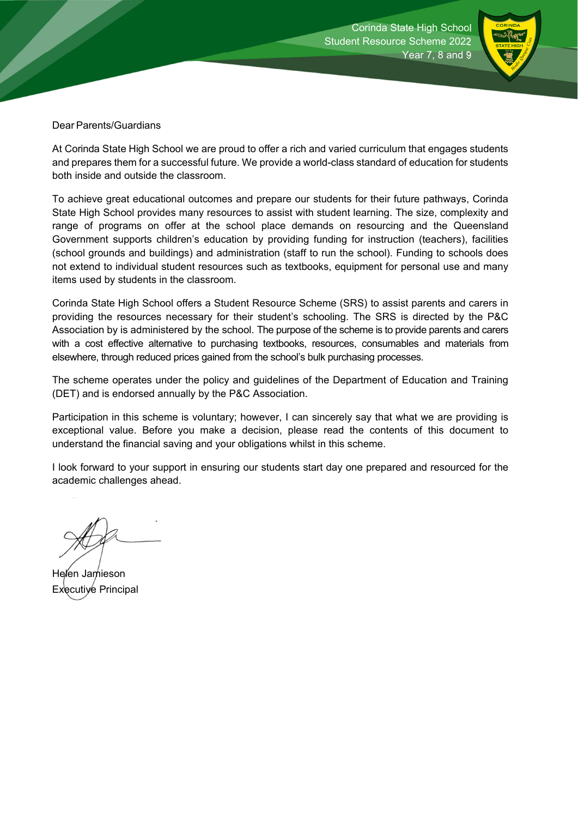

Dear Parents/Guardians

At Corinda State High School we are proud to offer a rich and varied curriculum that engages students and prepares them for a successful future. We provide a world-class standard of education for students both inside and outside the classroom.

To achieve great educational outcomes and prepare our students for their future pathways, Corinda State High School provides many resources to assist with student learning. The size, complexity and range of programs on offer at the school place demands on resourcing and the Queensland Government supports children's education by providing funding for instruction (teachers), facilities (school grounds and buildings) and administration (staff to run the school). Funding to schools does not extend to individual student resources such as textbooks, equipment for personal use and many items used by students in the classroom.

Corinda State High School offers a Student Resource Scheme (SRS) to assist parents and carers in providing the resources necessary for their student's schooling. The SRS is directed by the P&C Association by is administered by the school. The purpose of the scheme is to provide parents and carers with a cost effective alternative to purchasing textbooks, resources, consumables and materials from elsewhere, through reduced prices gained from the school's bulk purchasing processes.

The scheme operates under the policy and guidelines of the Department of Education and Training (DET) and is endorsed annually by the P&C Association.

Participation in this scheme is voluntary; however, I can sincerely say that what we are providing is exceptional value. Before you make a decision, please read the contents of this document to understand the financial saving and your obligations whilst in this scheme.

I look forward to your support in ensuring our students start day one prepared and resourced for the academic challenges ahead.

Helen Jamieson Executive Principal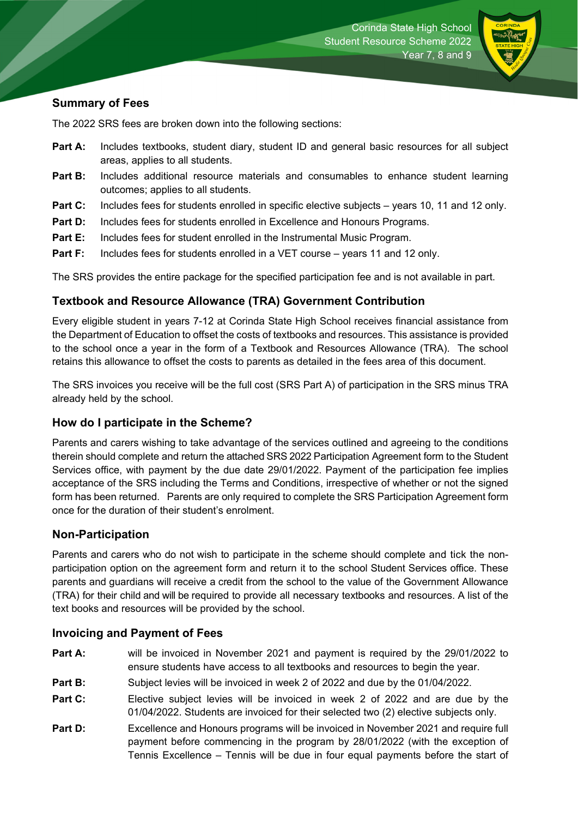

### **Summary of Fees**

The 2022 SRS fees are broken down into the following sections:

- **Part A:** Includes textbooks, student diary, student ID and general basic resources for all subject areas, applies to all students.
- **Part B:** Includes additional resource materials and consumables to enhance student learning outcomes; applies to all students.
- **Part C:** Includes fees for students enrolled in specific elective subjects years 10, 11 and 12 only.
- **Part D:** Includes fees for students enrolled in Excellence and Honours Programs.
- **Part E:** Includes fees for student enrolled in the Instrumental Music Program.
- **Part F:** Includes fees for students enrolled in a VET course years 11 and 12 only.

The SRS provides the entire package for the specified participation fee and is not available in part.

### **Textbook and Resource Allowance (TRA) Government Contribution**

Every eligible student in years 7-12 at Corinda State High School receives financial assistance from the Department of Education to offset the costs of textbooks and resources. This assistance is provided to the school once a year in the form of a Textbook and Resources Allowance (TRA). The school retains this allowance to offset the costs to parents as detailed in the fees area of this document.

The SRS invoices you receive will be the full cost (SRS Part A) of participation in the SRS minus TRA already held by the school.

### **How do I participate in the Scheme?**

Parents and carers wishing to take advantage of the services outlined and agreeing to the conditions therein should complete and return the attached SRS 2022 Participation Agreement form to the Student Services office, with payment by the due date 29/01/2022. Payment of the participation fee implies acceptance of the SRS including the Terms and Conditions, irrespective of whether or not the signed form has been returned. Parents are only required to complete the SRS Participation Agreement form once for the duration of their student's enrolment.

### **Non-Participation**

Parents and carers who do not wish to participate in the scheme should complete and tick the nonparticipation option on the agreement form and return it to the school Student Services office. These parents and guardians will receive a credit from the school to the value of the Government Allowance (TRA) for their child and will be required to provide all necessary textbooks and resources. A list of the text books and resources will be provided by the school.

### **Invoicing and Payment of Fees**

- **Part A:** will be invoiced in November 2021 and payment is required by the 29/01/2022 to ensure students have access to all textbooks and resources to begin the year.
- **Part B:** Subject levies will be invoiced in week 2 of 2022 and due by the 01/04/2022.
- **Part C:** Elective subject levies will be invoiced in week 2 of 2022 and are due by the 01/04/2022. Students are invoiced for their selected two (2) elective subjects only.
- **Part D:** Excellence and Honours programs will be invoiced in November 2021 and require full payment before commencing in the program by 28/01/2022 (with the exception of Tennis Excellence – Tennis will be due in four equal payments before the start of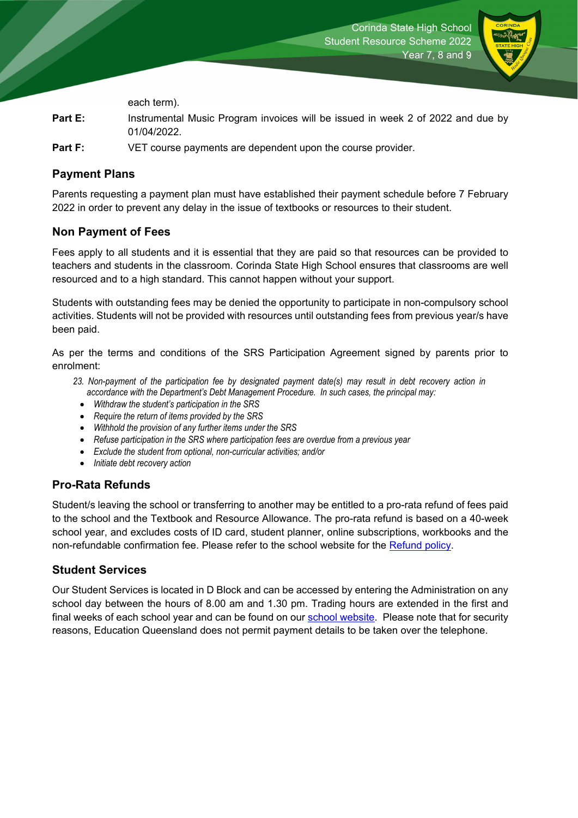

each term).

- **Part E:** Instrumental Music Program invoices will be issued in week 2 of 2022 and due by 01/04/2022.
- **Part F:** VET course payments are dependent upon the course provider.

### **Payment Plans**

Parents requesting a payment plan must have established their payment schedule before 7 February 2022 in order to prevent any delay in the issue of textbooks or resources to their student.

### **Non Payment of Fees**

Fees apply to all students and it is essential that they are paid so that resources can be provided to teachers and students in the classroom. Corinda State High School ensures that classrooms are well resourced and to a high standard. This cannot happen without your support.

Students with outstanding fees may be denied the opportunity to participate in non-compulsory school activities. Students will not be provided with resources until outstanding fees from previous year/s have been paid.

As per the terms and conditions of the SRS Participation Agreement signed by parents prior to enrolment:

- *23. Non-payment of the participation fee by designated payment date(s) may result in debt recovery action in accordance with the Department's Debt Management Procedure. In such cases, the principal may:* 
	- *Withdraw the student's participation in the SRS*
	- *Require the return of items provided by the SRS*
	- *Withhold the provision of any further items under the SRS*
	- *Refuse participation in the SRS where participation fees are overdue from a previous year*
	- *Exclude the student from optional, non-curricular activities; and/or*
	- *Initiate debt recovery action*

### **Pro-Rata Refunds**

Student/s leaving the school or transferring to another may be entitled to a pro-rata refund of fees paid to the school and the Textbook and Resource Allowance. The pro-rata refund is based on a 40-week school year, and excludes costs of ID card, student planner, online subscriptions, workbooks and the non-refundable confirmation fee. Please refer to the school website for the Refund policy.

### **Student Services**

Our Student Services is located in D Block and can be accessed by entering the Administration on any school day between the hours of 8.00 am and 1.30 pm. Trading hours are extended in the first and final weeks of each school year and can be found on our school website. Please note that for security reasons, Education Queensland does not permit payment details to be taken over the telephone.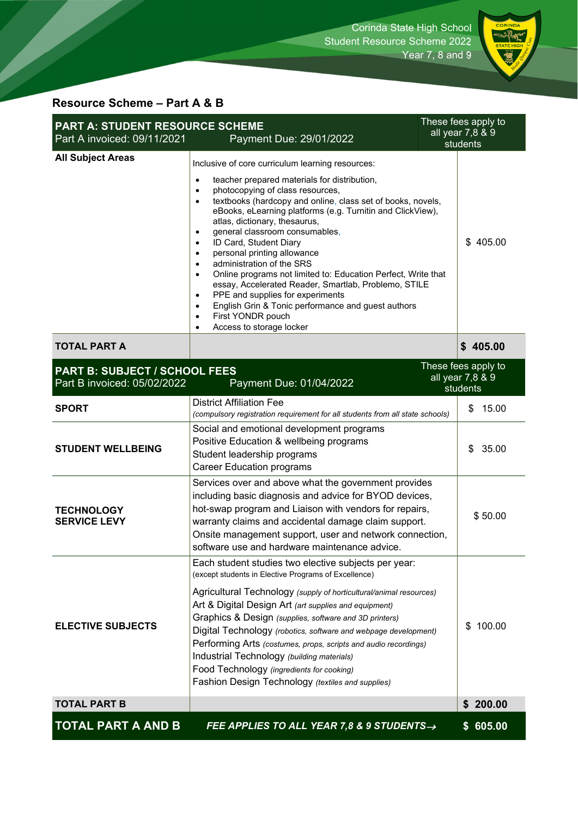

# **Resource Scheme – Part A & B**

| These fees apply to<br><b>PART A: STUDENT RESOURCE SCHEME</b><br>all year 7,8 & 9<br>Part A invoiced: 09/11/2021<br>Payment Due: 29/01/2022<br>students |                                                                                                                                                                                                                                                                                                                                                                                                                                                                                                                                                                                                                                                                                                                                                                                                                                               |                                                     |
|---------------------------------------------------------------------------------------------------------------------------------------------------------|-----------------------------------------------------------------------------------------------------------------------------------------------------------------------------------------------------------------------------------------------------------------------------------------------------------------------------------------------------------------------------------------------------------------------------------------------------------------------------------------------------------------------------------------------------------------------------------------------------------------------------------------------------------------------------------------------------------------------------------------------------------------------------------------------------------------------------------------------|-----------------------------------------------------|
| <b>All Subject Areas</b>                                                                                                                                | Inclusive of core curriculum learning resources:<br>teacher prepared materials for distribution,<br>$\bullet$<br>photocopying of class resources,<br>$\bullet$<br>textbooks (hardcopy and online, class set of books, novels,<br>$\bullet$<br>eBooks, eLearning platforms (e.g. Turnitin and ClickView),<br>atlas, dictionary, thesaurus,<br>general classroom consumables,<br>ID Card, Student Diary<br>$\bullet$<br>personal printing allowance<br>$\bullet$<br>administration of the SRS<br>$\bullet$<br>Online programs not limited to: Education Perfect, Write that<br>$\bullet$<br>essay, Accelerated Reader, Smartlab, Problemo, STILE<br>PPE and supplies for experiments<br>$\bullet$<br>English Grin & Tonic performance and guest authors<br>$\bullet$<br>First YONDR pouch<br>$\bullet$<br>Access to storage locker<br>$\bullet$ | \$405.00                                            |
| <b>TOTAL PART A</b>                                                                                                                                     |                                                                                                                                                                                                                                                                                                                                                                                                                                                                                                                                                                                                                                                                                                                                                                                                                                               | \$405.00                                            |
| <b>PART B: SUBJECT / SCHOOL FEES</b><br>Part B invoiced: 05/02/2022                                                                                     | Payment Due: 01/04/2022                                                                                                                                                                                                                                                                                                                                                                                                                                                                                                                                                                                                                                                                                                                                                                                                                       | These fees apply to<br>all year 7,8 & 9<br>students |
| <b>SPORT</b>                                                                                                                                            | <b>District Affiliation Fee</b><br>(compulsory registration requirement for all students from all state schools)                                                                                                                                                                                                                                                                                                                                                                                                                                                                                                                                                                                                                                                                                                                              | 15.00<br>\$                                         |
| <b>STUDENT WELLBEING</b>                                                                                                                                | Social and emotional development programs<br>Positive Education & wellbeing programs<br>Student leadership programs<br><b>Career Education programs</b>                                                                                                                                                                                                                                                                                                                                                                                                                                                                                                                                                                                                                                                                                       | 35.00<br>\$                                         |
| <b>TECHNOLOGY</b><br><b>SERVICE LEVY</b>                                                                                                                | Services over and above what the government provides<br>including basic diagnosis and advice for BYOD devices,<br>hot-swap program and Liaison with vendors for repairs,<br>warranty claims and accidental damage claim support.<br>Onsite management support, user and network connection,<br>software use and hardware maintenance advice.                                                                                                                                                                                                                                                                                                                                                                                                                                                                                                  | \$50.00                                             |
| <b>ELECTIVE SUBJECTS</b>                                                                                                                                | Each student studies two elective subjects per year:<br>(except students in Elective Programs of Excellence)<br>Agricultural Technology (supply of horticultural/animal resources)<br>Art & Digital Design Art (art supplies and equipment)<br>Graphics & Design (supplies, software and 3D printers)<br>Digital Technology (robotics, software and webpage development)<br>Performing Arts (costumes, props, scripts and audio recordings)<br>Industrial Technology (building materials)<br>Food Technology (ingredients for cooking)<br>Fashion Design Technology (textiles and supplies)                                                                                                                                                                                                                                                   | 100.00<br>\$                                        |
| <b>TOTAL PART B</b>                                                                                                                                     |                                                                                                                                                                                                                                                                                                                                                                                                                                                                                                                                                                                                                                                                                                                                                                                                                                               | 200.00<br>S                                         |
| <b>TOTAL PART A AND B</b>                                                                                                                               | FEE APPLIES TO ALL YEAR 7,8 & 9 STUDENTS $\rightarrow$                                                                                                                                                                                                                                                                                                                                                                                                                                                                                                                                                                                                                                                                                                                                                                                        | \$605.00                                            |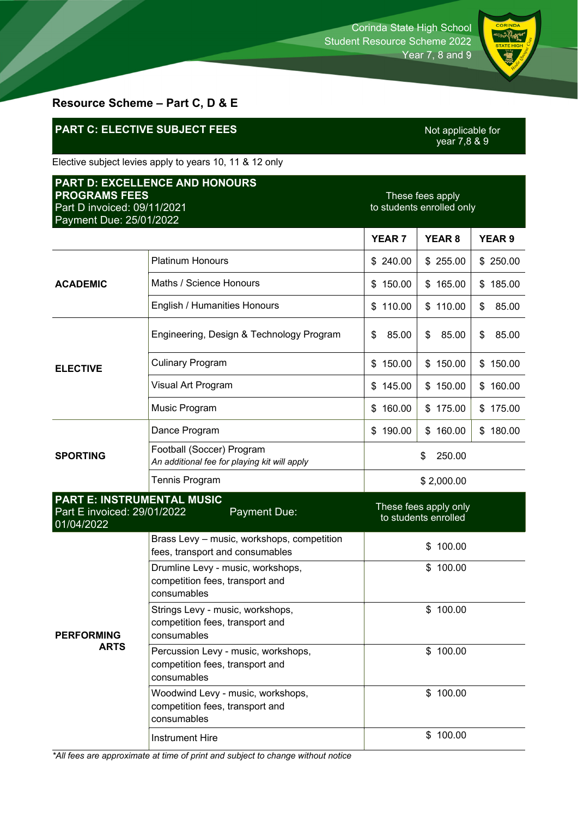

# **Resource Scheme – Part C, D & E**

# **PART C: ELECTIVE SUBJECT FEES**

Not applicable for<br>year 7,8 & 9

Elective subject levies apply to years 10, 11 & 12 only

| <b>PART D: EXCELLENCE AND HONOURS</b><br><b>PROGRAMS FEES</b><br>Part D invoiced: 09/11/2021<br>Payment Due: 25/01/2022 |                                                                                       | These fees apply<br>to students enrolled only |                                               |               |
|-------------------------------------------------------------------------------------------------------------------------|---------------------------------------------------------------------------------------|-----------------------------------------------|-----------------------------------------------|---------------|
|                                                                                                                         |                                                                                       | <b>YEAR 7</b>                                 | <b>YEAR 8</b>                                 | <b>YEAR 9</b> |
| <b>ACADEMIC</b>                                                                                                         | <b>Platinum Honours</b>                                                               | \$240.00                                      | \$255.00                                      | \$250.00      |
|                                                                                                                         | Maths / Science Honours                                                               | \$150.00                                      | \$165.00                                      | \$185.00      |
|                                                                                                                         | English / Humanities Honours                                                          | \$110.00                                      | \$110.00                                      | 85.00<br>\$   |
| <b>ELECTIVE</b>                                                                                                         | Engineering, Design & Technology Program                                              | \$<br>85.00                                   | \$<br>85.00                                   | \$<br>85.00   |
|                                                                                                                         | <b>Culinary Program</b>                                                               | 150.00<br>\$                                  | \$150.00                                      | \$150.00      |
|                                                                                                                         | Visual Art Program                                                                    | \$145.00                                      | \$150.00                                      | \$160.00      |
|                                                                                                                         | Music Program                                                                         | \$160.00                                      | \$175.00                                      | \$175.00      |
| <b>SPORTING</b>                                                                                                         | Dance Program                                                                         | \$190.00                                      | \$160.00                                      | \$180.00      |
|                                                                                                                         | Football (Soccer) Program<br>An additional fee for playing kit will apply             | 250.00<br>\$                                  |                                               |               |
|                                                                                                                         | <b>Tennis Program</b>                                                                 | \$2,000.00                                    |                                               |               |
| <b>PART E: INSTRUMENTAL MUSIC</b><br>Part E invoiced: 29/01/2022<br>Payment Due:<br>01/04/2022                          |                                                                                       |                                               | These fees apply only<br>to students enrolled |               |
| <b>PERFORMING</b><br><b>ARTS</b>                                                                                        | Brass Levy - music, workshops, competition<br>fees, transport and consumables         | 100.00<br>\$                                  |                                               |               |
|                                                                                                                         | Drumline Levy - music, workshops,<br>competition fees, transport and<br>consumables   | \$100.00                                      |                                               |               |
|                                                                                                                         | Strings Levy - music, workshops,<br>competition fees, transport and<br>consumables    | \$100.00                                      |                                               |               |
|                                                                                                                         | Percussion Levy - music, workshops,<br>competition fees, transport and<br>consumables | \$100.00                                      |                                               |               |
|                                                                                                                         | Woodwind Levy - music, workshops,<br>competition fees, transport and<br>consumables   |                                               | \$100.00                                      |               |
|                                                                                                                         | <b>Instrument Hire</b>                                                                |                                               | \$100.00                                      |               |

*\*All fees are approximate at time of print and subject to change without notice*